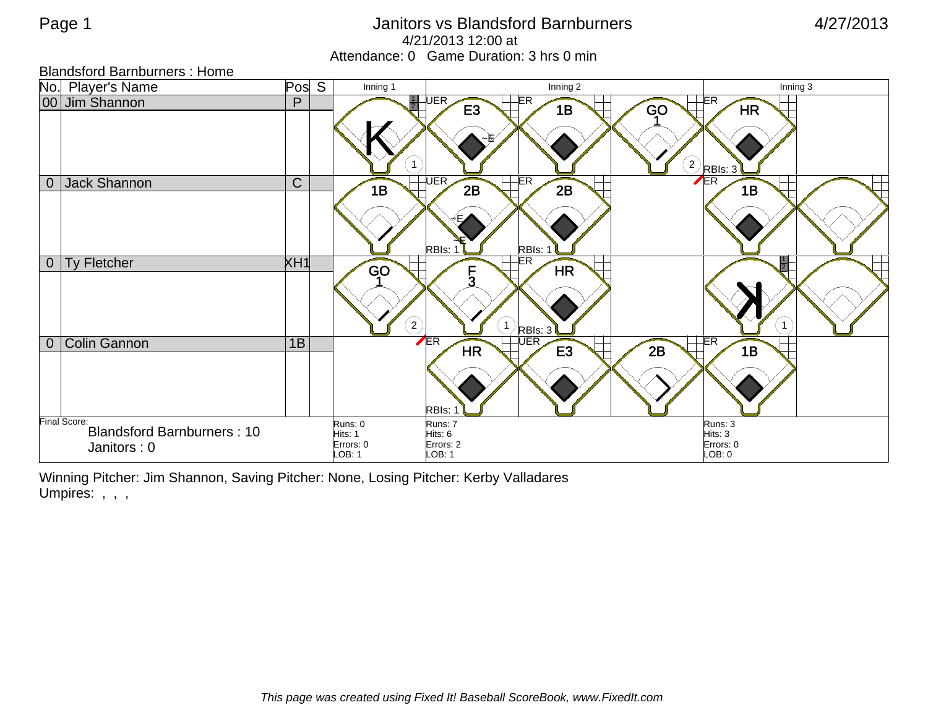## Page 1 **Contract Contract Contract Contract Contract Contract Contract Contract Contract Contract Contract Contract Contract Contract Contract Contract Contract Contract Contract Contract Contract Contract Contract Contrac** 4/21/2013 12:00 at Attendance: 0 Game Duration: 3 hrs 0 min

| <b>Blandsford Barnburners: Home</b>                              |              |                                           |                                                                        |                                           |           |
|------------------------------------------------------------------|--------------|-------------------------------------------|------------------------------------------------------------------------|-------------------------------------------|-----------|
| No. Player's Name                                                | S<br>Pos     | Inning 1                                  | Inning 2                                                               |                                           | Inning 3  |
| 00 Jim Shannon                                                   | P            | $\mathbf{1}$                              | $\frac{1}{2}$ UER<br>-ER<br>E <sub>3</sub><br>1B                       | ER<br>GO<br>$(2)$ RBIs: 3 <sup>7</sup>    | <b>HR</b> |
| Jack Shannon<br>$\overline{0}$                                   | $\mathsf{C}$ | 1B                                        | UER<br>$E$ R<br>2B<br>2B<br>RBIs: 1<br>RBIs: 1                         | $\sqrt{ER}$                               | 1B        |
| Ty Fletcher<br>$\overline{0}$                                    | XH1          | <b>GO</b><br>$\left( \mathbf{2}\right)$   | -ER<br>HR<br>$\overline{5}$<br>$\bigcup$ RBIs: 3 <sup>7</sup>          |                                           |           |
| <b>Colin Gannon</b><br>$\overline{0}$                            | 1B           |                                           | ER<br>$\overline{\sf \, UER}$<br><b>E3</b><br>HR<br>RBI <sub>s</sub> : | -ER<br>2B                                 | 1B        |
| Final Score:<br><b>Blandsford Barnburners: 10</b><br>Janitors: 0 |              | Runs: 0<br>Hits: 1<br>Errors: 0<br>LOB: 1 | Runs: 7<br>Hits: 6<br>Errors: 2<br>LOB: 1                              | Runs: 3<br>Hits: 3<br>Errors: 0<br>LOB: 0 |           |

Winning Pitcher: Jim Shannon, Saving Pitcher: None, Losing Pitcher: Kerby Valladares Umpires: , , ,